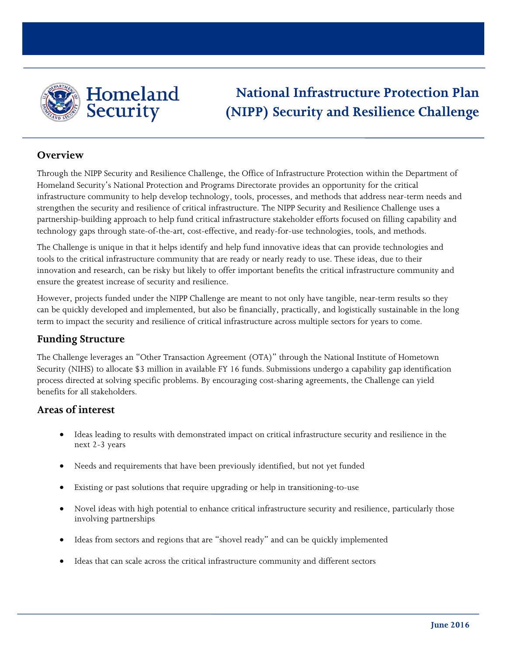

# **National Infrastructure Protection Plan (NIPP) Security and Resilience Challenge**

#### **Overview**

Through the NIPP Security and Resilience Challenge, the Office of Infrastructure Protection within the Department of Homeland Security's National Protection and Programs Directorate provides an opportunity for the critical infrastructure community to help develop technology, tools, processes, and methods that address near-term needs and strengthen the security and resilience of critical infrastructure. The NIPP Security and Resilience Challenge uses a partnership-building approach to help fund critical infrastructure stakeholder efforts focused on filling capability and technology gaps through state-of-the-art, cost-effective, and ready-for-use technologies, tools, and methods.

The Challenge is unique in that it helps identify and help fund innovative ideas that can provide technologies and tools to the critical infrastructure community that are ready or nearly ready to use. These ideas, due to their innovation and research, can be risky but likely to offer important benefits the critical infrastructure community and ensure the greatest increase of security and resilience.

However, projects funded under the NIPP Challenge are meant to not only have tangible, near-term results so they can be quickly developed and implemented, but also be financially, practically, and logistically sustainable in the long term to impact the security and resilience of critical infrastructure across multiple sectors for years to come.

### **Funding Structure**

The Challenge leverages an "Other Transaction Agreement (OTA)" through the National Institute of Hometown Security (NIHS) to allocate \$3 million in available FY 16 funds. Submissions undergo a capability gap identification process directed at solving specific problems. By encouraging cost-sharing agreements, the Challenge can yield benefits for all stakeholders.

### **Areas of interest**

- Ideas leading to results with demonstrated impact on critical infrastructure security and resilience in the next 2-3 years
- Needs and requirements that have been previously identified, but not yet funded
- Existing or past solutions that require upgrading or help in transitioning-to-use
- Novel ideas with high potential to enhance critical infrastructure security and resilience, particularly those involving partnerships
- Ideas from sectors and regions that are "shovel ready" and can be quickly implemented
- Ideas that can scale across the critical infrastructure community and different sectors